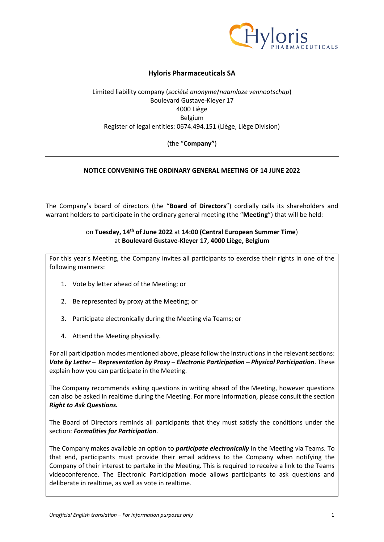

# **Hyloris Pharmaceuticals SA**

# Limited liability company (*société anonyme*/*naamloze vennootschap*) Boulevard Gustave-Kleyer 17 4000 Liège Belgium Register of legal entities: 0674.494.151 (Liège, Liège Division)

(the "**Company"**)

# **NOTICE CONVENING THE ORDINARY GENERAL MEETING OF 14 JUNE 2022**

The Company's board of directors (the "**Board of Directors**") cordially calls its shareholders and warrant holders to participate in the ordinary general meeting (the "**Meeting**") that will be held:

## on **Tuesday, 14th of June 2022** at **14:00 (Central European Summer Time**) at **Boulevard Gustave-Kleyer 17, 4000 Liège, Belgium**

For this year's Meeting, the Company invites all participants to exercise their rights in one of the following manners:

- 1. Vote by letter ahead of the Meeting; or
- 2. Be represented by proxy at the Meeting; or
- 3. Participate electronically during the Meeting via Teams; or
- 4. Attend the Meeting physically.

For all participation modes mentioned above, please follow the instructions in the relevant sections: *Vote by Letter – Representation by Proxy – Electronic Participation – Physical Participation*. These explain how you can participate in the Meeting.

The Company recommends asking questions in writing ahead of the Meeting, however questions can also be asked in realtime during the Meeting. For more information, please consult the section *Right to Ask Questions.*

The Board of Directors reminds all participants that they must satisfy the conditions under the section: *Formalities for Participation*.

The Company makes available an option to *participate electronically* in the Meeting via Teams. To that end, participants must provide their email address to the Company when notifying the Company of their interest to partake in the Meeting. This is required to receive a link to the Teams videoconference. The Electronic Participation mode allows participants to ask questions and deliberate in realtime, as well as vote in realtime.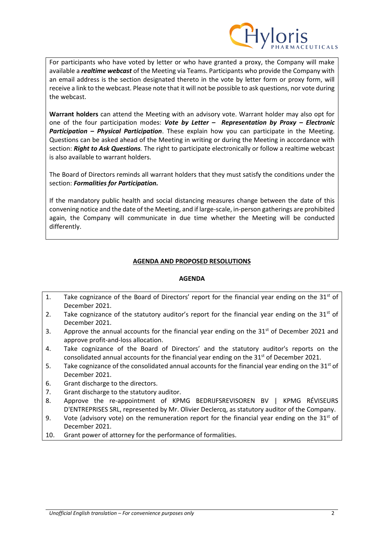

For participants who have voted by letter or who have granted a proxy, the Company will make available a *realtime webcast* of the Meeting via Teams. Participants who provide the Company with an email address is the section designated thereto in the vote by letter form or proxy form, will receive a link to the webcast. Please note that it will not be possible to ask questions, nor vote during the webcast.

**Warrant holders** can attend the Meeting with an advisory vote. Warrant holder may also opt for one of the four participation modes: *Vote by Letter – Representation by Proxy – Electronic Participation – Physical Participation*. These explain how you can participate in the Meeting. Questions can be asked ahead of the Meeting in writing or during the Meeting in accordance with section: *Right to Ask Questions.* The right to participate electronically or follow a realtime webcast is also available to warrant holders.

The Board of Directors reminds all warrant holders that they must satisfy the conditions under the section: *Formalities for Participation.*

If the mandatory public health and social distancing measures change between the date of this convening notice and the date of the Meeting, and if large-scale, in-person gatherings are prohibited again, the Company will communicate in due time whether the Meeting will be conducted differently.

# **AGENDA AND PROPOSED RESOLUTIONS**

## **AGENDA**

- 1. Take cognizance of the Board of Directors' report for the financial year ending on the  $31<sup>st</sup>$  of December 2021.
- 2. Take cognizance of the statutory auditor's report for the financial year ending on the  $31<sup>st</sup>$  of December 2021.
- 3. Approve the annual accounts for the financial year ending on the  $31<sup>st</sup>$  of December 2021 and approve profit-and-loss allocation.
- 4. Take cognizance of the Board of Directors' and the statutory auditor's reports on the consolidated annual accounts for the financial year ending on the  $31<sup>st</sup>$  of December 2021.
- 5. Take cognizance of the consolidated annual accounts for the financial year ending on the  $31<sup>st</sup>$  of December 2021.
- 6. Grant discharge to the directors.
- 7. Grant discharge to the statutory auditor.
- 8. Approve the re-appointment of KPMG BEDRIJFSREVISOREN BV | KPMG RÉVISEURS D'ENTREPRISES SRL, represented by Mr. Olivier Declercq, as statutory auditor of the Company.
- 9. Vote (advisory vote) on the remuneration report for the financial year ending on the  $31<sup>st</sup>$  of December 2021.
- 10. Grant power of attorney for the performance of formalities.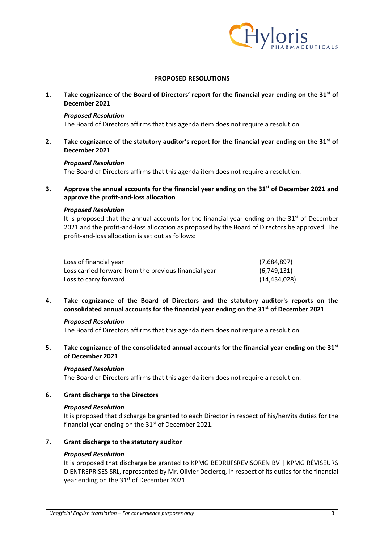

## **PROPOSED RESOLUTIONS**

**1. Take cognizance of the Board of Directors' report for the financial year ending on the 31st of December 2021**

#### *Proposed Resolution*

The Board of Directors affirms that this agenda item does not require a resolution.

**2. Take cognizance of the statutory auditor's report for the financial year ending on the 31st of December 2021**

#### *Proposed Resolution*

The Board of Directors affirms that this agenda item does not require a resolution.

**3. Approve the annual accounts for the financial year ending on the 31st of December 2021 and approve the profit-and-loss allocation** 

#### *Proposed Resolution*

It is proposed that the annual accounts for the financial year ending on the  $31<sup>st</sup>$  of December 2021 and the profit-and-loss allocation as proposed by the Board of Directors be approved. The profit-and-loss allocation is set out as follows:

| Loss of financial year                                | (7,684,897)    |
|-------------------------------------------------------|----------------|
| Loss carried forward from the previous financial year | (6,749,131)    |
| Loss to carry forward                                 | (14, 434, 028) |

**4. Take cognizance of the Board of Directors and the statutory auditor's reports on the consolidated annual accounts for the financial year ending on the 31st of December 2021** 

## *Proposed Resolution*

The Board of Directors affirms that this agenda item does not require a resolution.

**5. Take cognizance of the consolidated annual accounts for the financial year ending on the 31st of December 2021**

## *Proposed Resolution*

The Board of Directors affirms that this agenda item does not require a resolution.

#### **6. Grant discharge to the Directors**

#### *Proposed Resolution*

It is proposed that discharge be granted to each Director in respect of his/her/its duties for the financial year ending on the  $31<sup>st</sup>$  of December 2021.

## **7. Grant discharge to the statutory auditor**

## *Proposed Resolution*

It is proposed that discharge be granted to KPMG BEDRIJFSREVISOREN BV | KPMG RÉVISEURS D'ENTREPRISES SRL, represented by Mr. Olivier Declercq, in respect of its duties for the financial year ending on the 31<sup>st</sup> of December 2021.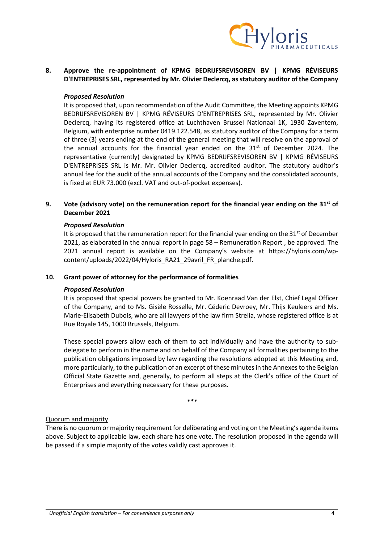

# **8. Approve the re-appointment of KPMG BEDRIJFSREVISOREN BV | KPMG RÉVISEURS D'ENTREPRISES SRL, represented by Mr. Olivier Declercq, as statutory auditor of the Company**

#### *Proposed Resolution*

It is proposed that, upon recommendation of the Audit Committee, the Meeting appoints KPMG BEDRIJFSREVISOREN BV | KPMG RÉVISEURS D'ENTREPRISES SRL, represented by Mr. Olivier Declercq, having its registered office at Luchthaven Brussel Nationaal 1K, 1930 Zaventem, Belgium, with enterprise number 0419.122.548, as statutory auditor of the Company for a term of three (3) years ending at the end of the general meeting that will resolve on the approval of the annual accounts for the financial year ended on the  $31<sup>st</sup>$  of December 2024. The representative (currently) designated by KPMG BEDRIJFSREVISOREN BV | KPMG RÉVISEURS D'ENTREPRISES SRL is Mr. Mr. Olivier Declercq, accredited auditor. The statutory auditor's annual fee for the audit of the annual accounts of the Company and the consolidated accounts, is fixed at EUR 73.000 (excl. VAT and out-of-pocket expenses).

## **9. Vote (advisory vote) on the remuneration report for the financial year ending on the 31st of December 2021**

#### *Proposed Resolution*

It is proposed that the remuneration report for the financial year ending on the  $31^{st}$  of December 2021, as elaborated in the annual report in page 58 – Remuneration Report , be approved. The 2021 annual report is available on the Company's website at https://hyloris.com/wpcontent/uploads/2022/04/Hyloris\_RA21\_29avril\_FR\_planche.pdf.

## **10. Grant power of attorney for the performance of formalities**

#### *Proposed Resolution*

It is proposed that special powers be granted to Mr. Koenraad Van der Elst, Chief Legal Officer of the Company, and to Ms. Gisèle Rosselle, Mr. Céderic Devroey, Mr. Thijs Keuleers and Ms. Marie-Elisabeth Dubois, who are all lawyers of the law firm Strelia, whose registered office is at Rue Royale 145, 1000 Brussels, Belgium.

These special powers allow each of them to act individually and have the authority to subdelegate to perform in the name and on behalf of the Company all formalities pertaining to the publication obligations imposed by law regarding the resolutions adopted at this Meeting and, more particularly, to the publication of an excerpt of these minutes in the Annexes to the Belgian Official State Gazette and, generally, to perform all steps at the Clerk's office of the Court of Enterprises and everything necessary for these purposes.

*\*\*\**

#### Quorum and majority

There is no quorum or majority requirement for deliberating and voting on the Meeting's agenda items above. Subject to applicable law, each share has one vote. The resolution proposed in the agenda will be passed if a simple majority of the votes validly cast approves it.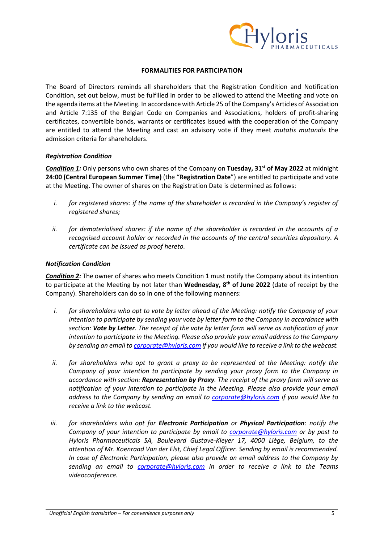

## **FORMALITIES FOR PARTICIPATION**

The Board of Directors reminds all shareholders that the Registration Condition and Notification Condition, set out below, must be fulfilled in order to be allowed to attend the Meeting and vote on the agenda items at the Meeting. In accordance with Article 25 of the Company's Articles of Association and Article 7:135 of the Belgian Code on Companies and Associations, holders of profit-sharing certificates, convertible bonds, warrants or certificates issued with the cooperation of the Company are entitled to attend the Meeting and cast an advisory vote if they meet *mutatis mutandis* the admission criteria for shareholders.

#### *Registration Condition*

*Condition 1:* Only persons who own shares of the Company on **Tuesday, 31st of May 2022** at midnight **24:00 (Central European Summer Time)** (the "**Registration Date**") are entitled to participate and vote at the Meeting. The owner of shares on the Registration Date is determined as follows:

- *i. for registered shares: if the name of the shareholder is recorded in the Company's register of registered shares;*
- *ii. for dematerialised shares: if the name of the shareholder is recorded in the accounts of a recognised account holder or recorded in the accounts of the central securities depository. A certificate can be issued as proof hereto.*

#### *Notification Condition*

*Condition 2:* The owner of shares who meets Condition 1 must notify the Company about its intention to participate at the Meeting by not later than **Wednesday, 8 th of June 2022** (date of receipt by the Company). Shareholders can do so in one of the following manners:

- *i. for shareholders who opt to vote by letter ahead of the Meeting: notify the Company of your intention to participate by sending your vote by letter form to the Company in accordance with section: Vote by Letter. The receipt of the vote by letter form will serve as notification of your intention to participate in the Meeting. Please also provide your email address to the Company by sending an email t[o corporate@hyloris.com](mailto:corporate@hyloris.com) if you would like to receive a link to the webcast.*
- *ii. for shareholders who opt to grant a proxy to be represented at the Meeting: notify the Company of your intention to participate by sending your proxy form to the Company in accordance with section: Representation by Proxy. The receipt of the proxy form will serve as notification of your intention to participate in the Meeting. Please also provide your email address to the Company by sending an email to [corporate@hyloris.com](mailto:corporate@hyloris.com) if you would like to receive a link to the webcast.*
- *iii. for shareholders who opt for Electronic Participation or Physical Participation*: *notify the Company of your intention to participate by email to [corporate@hyloris.com](mailto:corporate@hyloris.com) or by post to Hyloris Pharmaceuticals SA, Boulevard Gustave-Kleyer 17, 4000 Liège, Belgium, to the attention of Mr. Koenraad Van der Elst, Chief Legal Officer. Sending by email is recommended. In case of Electronic Participation, please also provide an email address to the Company by sending an email to [corporate@hyloris.com](mailto:corporate@hyloris.com) in order to receive a link to the Teams videoconference.*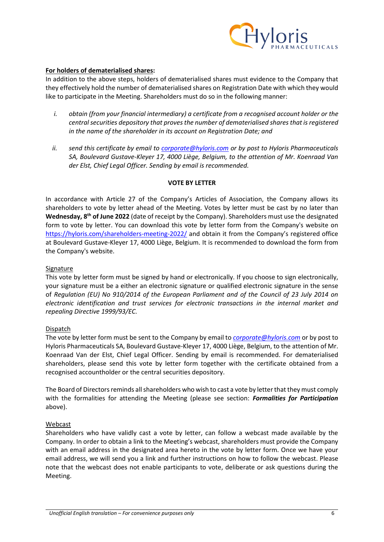

## **For holders of dematerialised shares:**

In addition to the above steps, holders of dematerialised shares must evidence to the Company that they effectively hold the number of dematerialised shares on Registration Date with which they would like to participate in the Meeting. Shareholders must do so in the following manner:

- *i. obtain (from your financial intermediary) a certificate from a recognised account holder or the central securities depository that proves the number of dematerialised shares that is registered in the name of the shareholder in its account on Registration Date; and*
- *ii. send this certificate by email to [corporate@hyloris.com](mailto:corporate@hyloris.com) or by post to Hyloris Pharmaceuticals SA, Boulevard Gustave-Kleyer 17, 4000 Liège, Belgium, to the attention of Mr. Koenraad Van der Elst, Chief Legal Officer. Sending by email is recommended.*

#### **VOTE BY LETTER**

In accordance with Article 27 of the Company's Articles of Association, the Company allows its shareholders to vote by letter ahead of the Meeting. Votes by letter must be cast by no later than Wednesday, 8<sup>th</sup> of June 2022 (date of receipt by the Company). Shareholders must use the designated form to vote by letter. You can download this vote by letter form from the Company's website on <https://hyloris.com/shareholders-meeting-2022/> and obtain it from the Company's registered office at Boulevard Gustave-Kleyer 17, 4000 Liège, Belgium. It is recommended to download the form from the Company's website.

#### **Signature**

This vote by letter form must be signed by hand or electronically. If you choose to sign electronically, your signature must be a either an electronic signature or qualified electronic signature in the sense of *Regulation (EU) No 910/2014 of the European Parliament and of the Council of 23 July 2014 on electronic identification and trust services for electronic transactions in the internal market and repealing Directive 1999/93/EC.*

#### Dispatch

The vote by letter form must be sent to the Company by email to *[corporate@hyloris.com](mailto:corporate@hyloris.com)* or by post to Hyloris Pharmaceuticals SA, Boulevard Gustave-Kleyer 17, 4000 Liège, Belgium, to the attention of Mr. Koenraad Van der Elst, Chief Legal Officer. Sending by email is recommended. For dematerialised shareholders, please send this vote by letter form together with the certificate obtained from a recognised accountholder or the central securities depository.

The Board of Directors reminds all shareholders who wish to cast a vote by letter that they must comply with the formalities for attending the Meeting (please see section: *Formalities for Participation* above).

#### Webcast

Shareholders who have validly cast a vote by letter, can follow a webcast made available by the Company. In order to obtain a link to the Meeting's webcast, shareholders must provide the Company with an email address in the designated area hereto in the vote by letter form. Once we have your email address, we will send you a link and further instructions on how to follow the webcast. Please note that the webcast does not enable participants to vote, deliberate or ask questions during the Meeting.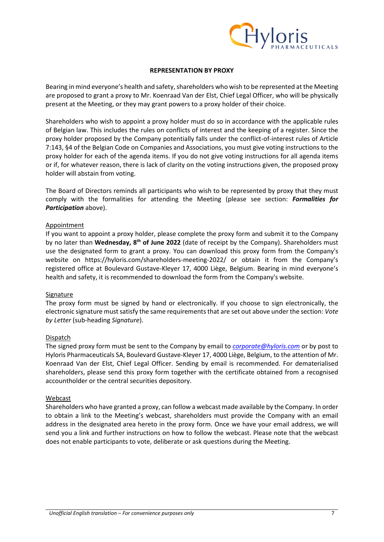

#### **REPRESENTATION BY PROXY**

Bearing in mind everyone's health and safety, shareholders who wish to be represented at the Meeting are proposed to grant a proxy to Mr. Koenraad Van der Elst, Chief Legal Officer, who will be physically present at the Meeting, or they may grant powers to a proxy holder of their choice.

Shareholders who wish to appoint a proxy holder must do so in accordance with the applicable rules of Belgian law. This includes the rules on conflicts of interest and the keeping of a register. Since the proxy holder proposed by the Company potentially falls under the conflict-of-interest rules of Article 7:143, §4 of the Belgian Code on Companies and Associations, you must give voting instructions to the proxy holder for each of the agenda items. If you do not give voting instructions for all agenda items or if, for whatever reason, there is lack of clarity on the voting instructions given, the proposed proxy holder will abstain from voting.

The Board of Directors reminds all participants who wish to be represented by proxy that they must comply with the formalities for attending the Meeting (please see section: *Formalities for Participation* above).

#### Appointment

If you want to appoint a proxy holder, please complete the proxy form and submit it to the Company by no later than Wednesday, 8<sup>th</sup> of June 2022 (date of receipt by the Company). Shareholders must use the designated form to grant a proxy. You can download this proxy form from the Company's website on https://hyloris.com/shareholders-meeting-2022/ or obtain it from the Company's registered office at Boulevard Gustave-Kleyer 17, 4000 Liège, Belgium. Bearing in mind everyone's health and safety, it is recommended to download the form from the Company's website.

## Signature

The proxy form must be signed by hand or electronically. If you choose to sign electronically, the electronic signature must satisfy the same requirements that are set out above under the section: *Vote by Letter* (sub-heading *Signature*).

## Dispatch

The signed proxy form must be sent to the Company by email to *[corporate@hyloris.com](mailto:corporate@hyloris.com)* or by post to Hyloris Pharmaceuticals SA, Boulevard Gustave-Kleyer 17, 4000 Liège, Belgium, to the attention of Mr. Koenraad Van der Elst, Chief Legal Officer. Sending by email is recommended. For dematerialised shareholders, please send this proxy form together with the certificate obtained from a recognised accountholder or the central securities depository.

#### Webcast

Shareholders who have granted a proxy, can follow a webcast made available by the Company. In order to obtain a link to the Meeting's webcast, shareholders must provide the Company with an email address in the designated area hereto in the proxy form. Once we have your email address, we will send you a link and further instructions on how to follow the webcast. Please note that the webcast does not enable participants to vote, deliberate or ask questions during the Meeting.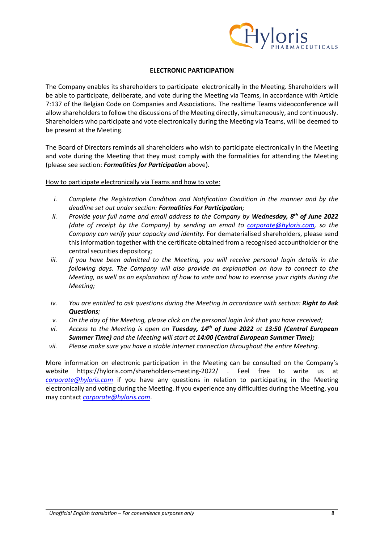

## **ELECTRONIC PARTICIPATION**

The Company enables its shareholders to participate electronically in the Meeting. Shareholders will be able to participate, deliberate, and vote during the Meeting via Teams, in accordance with Article 7:137 of the Belgian Code on Companies and Associations. The realtime Teams videoconference will allow shareholders to follow the discussions of the Meeting directly, simultaneously, and continuously. Shareholders who participate and vote electronically during the Meeting via Teams, will be deemed to be present at the Meeting.

The Board of Directors reminds all shareholders who wish to participate electronically in the Meeting and vote during the Meeting that they must comply with the formalities for attending the Meeting (please see section: *Formalities for Participation* above).

How to participate electronically via Teams and how to vote:

- *i. Complete the Registration Condition and Notification Condition in the manner and by the deadline set out under section: Formalities For Participation;*
- *ii. Provide your full name and email address to the Company by Wednesday, 8th of June 2022 (date of receipt by the Company) by sending an email to [corporate@hyloris.com,](mailto:corporate@hyloris.com) so the Company can verify your capacity and identity.* For dematerialised shareholders, please send thisinformation together with the certificate obtained from a recognised accountholder or the central securities depository*;*
- *iii. If you have been admitted to the Meeting, you will receive personal login details in the following days. The Company will also provide an explanation on how to connect to the Meeting, as well as an explanation of how to vote and how to exercise your rights during the Meeting;*
- *iv. You are entitled to ask questions during the Meeting in accordance with section: Right to Ask Questions;*
- *v. On the day of the Meeting, please click on the personal login link that you have received;*
- *vi. Access to the Meeting is open on Tuesday, 14th of June 2022 at 13:50 (Central European Summer Time) and the Meeting will start at 14:00 (Central European Summer Time);*
- *vii. Please make sure you have a stable internet connection throughout the entire Meeting.*

More information on electronic participation in the Meeting can be consulted on the Company's website https://hyloris.com/shareholders-meeting-2022/ . Feel free to write us at *[corporate@hyloris.com](mailto:corporate@hyloris.com)* if you have any questions in relation to participating in the Meeting electronically and voting during the Meeting. If you experience any difficulties during the Meeting, you may contact *[corporate@hyloris.com](mailto:corporate@hyloris.com)*.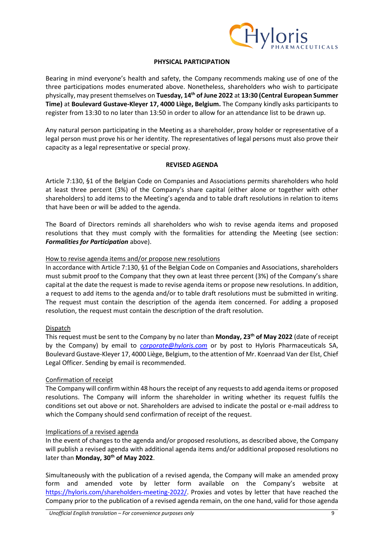

# **PHYSICAL PARTICIPATION**

Bearing in mind everyone's health and safety, the Company recommends making use of one of the three participations modes enumerated above. Nonetheless, shareholders who wish to participate physically, may present themselves on **Tuesday, 14th of June 2022** at **13:30 (Central European Summer Time)** at **Boulevard Gustave-Kleyer 17, 4000 Liège, Belgium.** The Company kindly asks participants to register from 13:30 to no later than 13:50 in order to allow for an attendance list to be drawn up.

Any natural person participating in the Meeting as a shareholder, proxy holder or representative of a legal person must prove his or her identity. The representatives of legal persons must also prove their capacity as a legal representative or special proxy.

# **REVISED AGENDA**

Article 7:130, §1 of the Belgian Code on Companies and Associations permits shareholders who hold at least three percent (3%) of the Company's share capital (either alone or together with other shareholders) to add items to the Meeting's agenda and to table draft resolutions in relation to items that have been or will be added to the agenda.

The Board of Directors reminds all shareholders who wish to revise agenda items and proposed resolutions that they must comply with the formalities for attending the Meeting (see section: *Formalities for Participation* above).

## How to revise agenda items and/or propose new resolutions

In accordance with Article 7:130, §1 of the Belgian Code on Companies and Associations, shareholders must submit proof to the Company that they own at least three percent (3%) of the Company's share capital at the date the request is made to revise agenda items or propose new resolutions. In addition, a request to add items to the agenda and/or to table draft resolutions must be submitted in writing. The request must contain the description of the agenda item concerned. For adding a proposed resolution, the request must contain the description of the draft resolution.

## Dispatch

This request must be sent to the Company by no later than **Monday, 23th of May 2022** (date of receipt by the Company) by email to *[corporate@hyloris.com](mailto:corporate@hyloris.com)* or by post to Hyloris Pharmaceuticals SA, Boulevard Gustave-Kleyer 17, 4000 Liège, Belgium, to the attention of Mr. Koenraad Van der Elst, Chief Legal Officer. Sending by email is recommended.

## Confirmation of receipt

The Company will confirm within 48 hours the receipt of any requests to add agenda items or proposed resolutions. The Company will inform the shareholder in writing whether its request fulfils the conditions set out above or not. Shareholders are advised to indicate the postal or e-mail address to which the Company should send confirmation of receipt of the request.

## Implications of a revised agenda

In the event of changes to the agenda and/or proposed resolutions, as described above, the Company will publish a revised agenda with additional agenda items and/or additional proposed resolutions no later than **Monday, 30th of May 2022**.

Simultaneously with the publication of a revised agenda, the Company will make an amended proxy form and amended vote by letter form available on the Company's website at [https://hyloris.com/shareholders-meeting-2022/.](https://hyloris.com/shareholders-meeting) Proxies and votes by letter that have reached the Company prior to the publication of a revised agenda remain, on the one hand, valid for those agenda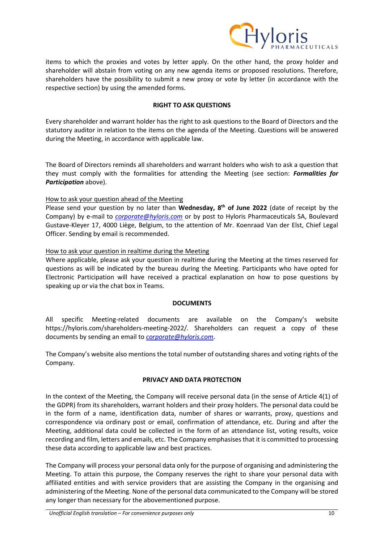

items to which the proxies and votes by letter apply. On the other hand, the proxy holder and shareholder will abstain from voting on any new agenda items or proposed resolutions. Therefore, shareholders have the possibility to submit a new proxy or vote by letter (in accordance with the respective section) by using the amended forms.

# **RIGHT TO ASK QUESTIONS**

Every shareholder and warrant holder has the right to ask questions to the Board of Directors and the statutory auditor in relation to the items on the agenda of the Meeting. Questions will be answered during the Meeting, in accordance with applicable law.

The Board of Directors reminds all shareholders and warrant holders who wish to ask a question that they must comply with the formalities for attending the Meeting (see section: *Formalities for Participation* above).

# How to ask your question ahead of the Meeting

Please send your question by no later than Wednesday, 8<sup>th</sup> of June 2022 (date of receipt by the Company) by e-mail to *[corporate@hyloris.com](mailto:corporate@hyloris.com)* or by post to Hyloris Pharmaceuticals SA, Boulevard Gustave-Kleyer 17, 4000 Liège, Belgium, to the attention of Mr. Koenraad Van der Elst, Chief Legal Officer. Sending by email is recommended.

# How to ask your question in realtime during the Meeting

Where applicable, please ask your question in realtime during the Meeting at the times reserved for questions as will be indicated by the bureau during the Meeting. Participants who have opted for Electronic Participation will have received a practical explanation on how to pose questions by speaking up or via the chat box in Teams.

## **DOCUMENTS**

All specific Meeting-related documents are available on the Company's website https://hyloris.com/shareholders-meeting-2022/*.* Shareholders can request a copy of these documents by sending an email to *[corporate@hyloris.com](mailto:corporate@hyloris.com)*.

The Company's website also mentions the total number of outstanding shares and voting rights of the Company.

## **PRIVACY AND DATA PROTECTION**

In the context of the Meeting, the Company will receive personal data (in the sense of Article 4(1) of the GDPR) from its shareholders, warrant holders and their proxy holders. The personal data could be in the form of a name, identification data, number of shares or warrants, proxy, questions and correspondence via ordinary post or email, confirmation of attendance, etc. During and after the Meeting, additional data could be collected in the form of an attendance list, voting results, voice recording and film, letters and emails, etc. The Company emphasises that it is committed to processing these data according to applicable law and best practices.

The Company will process your personal data only for the purpose of organising and administering the Meeting. To attain this purpose, the Company reserves the right to share your personal data with affiliated entities and with service providers that are assisting the Company in the organising and administering of the Meeting. None of the personal data communicated to the Company will be stored any longer than necessary for the abovementioned purpose.